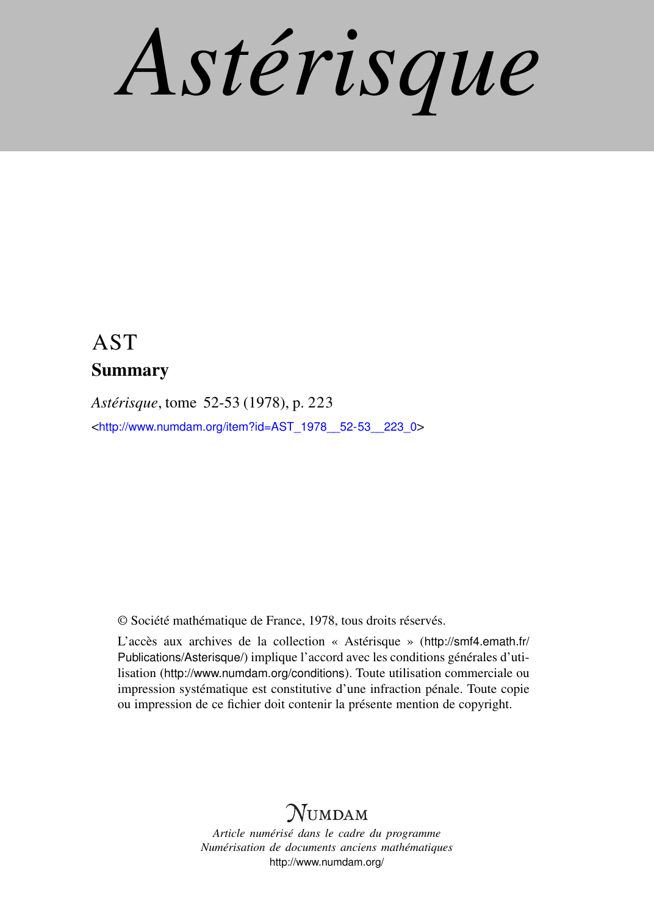*Astérisque*

## AST Summary

*Astérisque*, tome 52-53 (1978), p. 223 <[http://www.numdam.org/item?id=AST\\_1978\\_\\_52-53\\_\\_223\\_0](http://www.numdam.org/item?id=AST_1978__52-53__223_0)>

© Société mathématique de France, 1978, tous droits réservés.

L'accès aux archives de la collection « Astérisque » ([http://smf4.emath.fr/](http://smf4.emath.fr/Publications/Asterisque/) [Publications/Asterisque/](http://smf4.emath.fr/Publications/Asterisque/)) implique l'accord avec les conditions générales d'utilisation (<http://www.numdam.org/conditions>). Toute utilisation commerciale ou impression systématique est constitutive d'une infraction pénale. Toute copie ou impression de ce fichier doit contenir la présente mention de copyright.

## **NUMDAM**

*Article numérisé dans le cadre du programme Numérisation de documents anciens mathématiques* <http://www.numdam.org/>